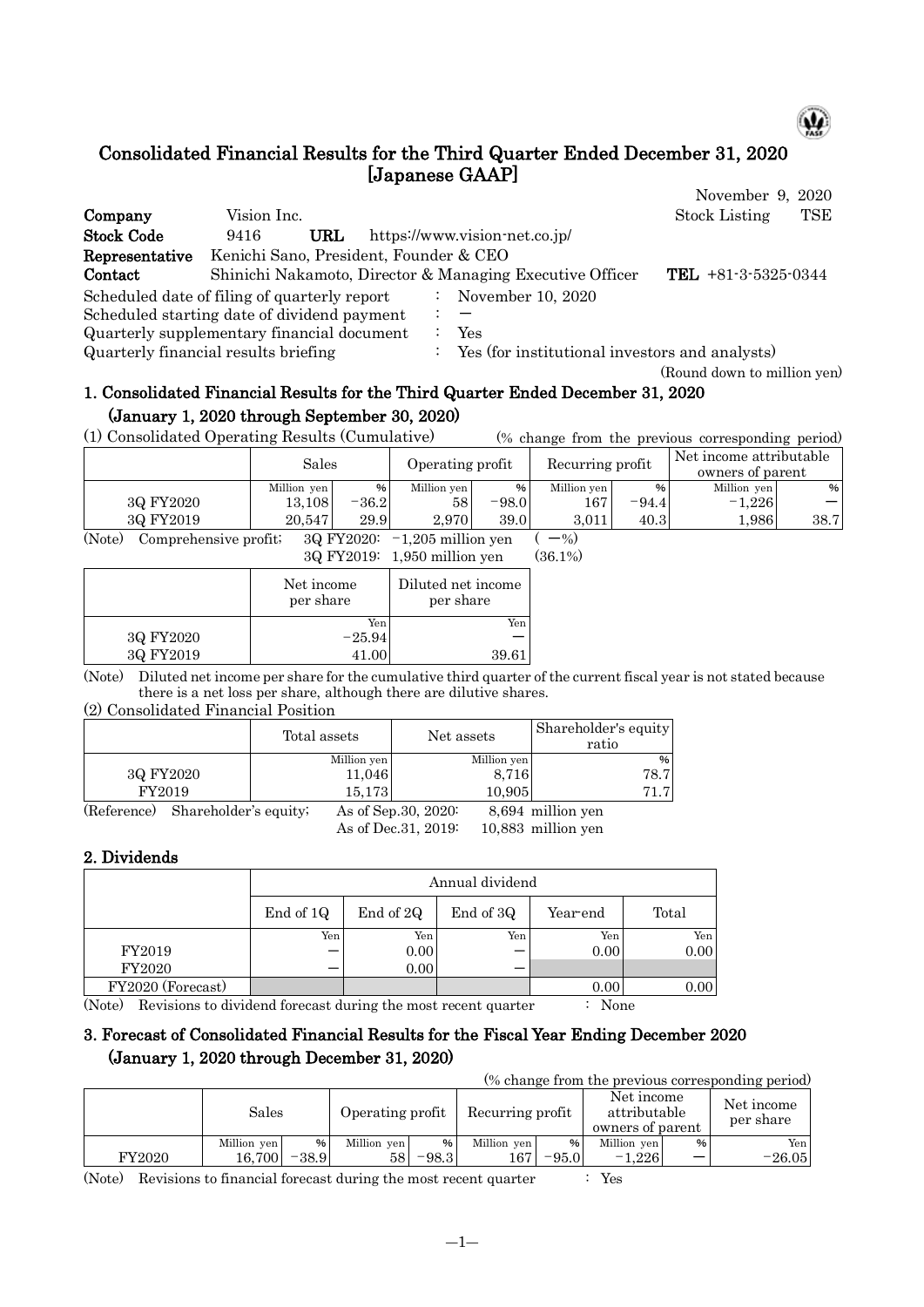

(Round down to million yen)

# Consolidated Financial Results for the Third Quarter Ended December 31, 2020 [Japanese GAAP]

|                                              |                                        |     |  |                                                          | November 9, 2020                   |  |
|----------------------------------------------|----------------------------------------|-----|--|----------------------------------------------------------|------------------------------------|--|
| Company                                      | Vision Inc.                            |     |  |                                                          | <b>Stock Listing</b><br><b>TSE</b> |  |
| <b>Stock Code</b>                            | 9416                                   | URL |  | https://www.vision-net.co.jp/                            |                                    |  |
| Representative                               | Kenichi Sano, President, Founder & CEO |     |  |                                                          |                                    |  |
| Contact                                      |                                        |     |  | Shinichi Nakamoto, Director & Managing Executive Officer | <b>TEL</b> $+81-3-5325-0344$       |  |
| Scheduled date of filing of quarterly report |                                        |     |  | November 10, 2020                                        |                                    |  |
| Scheduled starting date of dividend payment  |                                        |     |  |                                                          |                                    |  |
| Quarterly supplementary financial document   |                                        |     |  | Yes                                                      |                                    |  |
| Quarterly financial results briefing         |                                        |     |  | Yes (for institutional investors and analysts)           |                                    |  |

# 1. Consolidated Financial Results for the Third Quarter Ended December 31, 2020 (January 1, 2020 through September 30, 2020)

(1) Consolidated Operating Results (Cumulative) (% change from the previous corresponding period)

|                                                                                                                         |             | Sales   |             | Operating profit |             | Recurring profit | Net income attributable<br>owners of parent |      |
|-------------------------------------------------------------------------------------------------------------------------|-------------|---------|-------------|------------------|-------------|------------------|---------------------------------------------|------|
|                                                                                                                         | Million yen | %       | Million yen | %                | Million yen | $\%$             | Million yen                                 | %    |
| 3Q FY2020                                                                                                               | 13.108      | $-36.2$ | 58          | $-98.0$          | 167         | -94.4            | $-1.226$                                    |      |
| 3Q FY2019                                                                                                               | 20.547      | 29.9    | 2.970       | 39.0             | 3.011       | 40.3             | 1,986                                       | 38.7 |
| $\sim$ $\sim$ $\sim$<br>$\sim$ $\sim$<br>and the second second second and results.<br>----<br>$\sim$<br>----------<br>. |             |         |             |                  |             |                  |                                             |      |

(Note) Comprehensive profit;  $3Q FY2020: -1,205$  million yen  $(-%)$ 

|  | 3Q FY2019: 1,950 million yen | $(36.1\%)$ |
|--|------------------------------|------------|
|--|------------------------------|------------|

|           | Net income<br>per share | Diluted net income<br>per share |
|-----------|-------------------------|---------------------------------|
|           | Yen                     | Yen                             |
| 3Q FY2020 | $-25.94$                |                                 |
| 3Q FY2019 | 41.00                   | 39.61                           |

(Note) Diluted net income per share for the cumulative third quarter of the current fiscal year is not stated because there is a net loss per share, although there are dilutive shares.

#### (2) Consolidated Financial Position

|             |                       | Total assets | Net assets           | Shareholder's equity<br>ratio |
|-------------|-----------------------|--------------|----------------------|-------------------------------|
|             |                       | Million yen  | Million yen          | %                             |
| 3Q FY2020   |                       | 11,046       | 8,716                | 78.7                          |
| FY2019      |                       | 15.173       | 10,905               | 71.7                          |
| (Reference) | Shareholder's equity; |              | As of Sep. 30, 2020: | 8,694 million yen             |

As of Dec.31, 2019: 10,883 million yen

#### 2. Dividends

|                   |           | Annual dividend |           |          |       |  |  |  |  |
|-------------------|-----------|-----------------|-----------|----------|-------|--|--|--|--|
|                   | End of 1Q | End of 2Q       | End of 3Q | Year-end | Total |  |  |  |  |
|                   | Yen       | Yen             | Yen       | Yen      | Yen   |  |  |  |  |
| FY2019            |           | 0.00            |           | 0.00     | 0.00  |  |  |  |  |
| <b>FY2020</b>     |           | 0.00            |           |          |       |  |  |  |  |
| FY2020 (Forecast) |           |                 |           | 0.00     | 0.00  |  |  |  |  |

(Note) Revisions to dividend forecast during the most recent quarter : None

## 3. Forecast of Consolidated Financial Results for the Fiscal Year Ending December 2020 (January 1, 2020 through December 31, 2020)

(% change from the previous corresponding period)

|               | Sales       |         | Operating profit |               | Recurring profit |               | Net income<br>attributable<br>owners of parent |   | Net income<br>per share |
|---------------|-------------|---------|------------------|---------------|------------------|---------------|------------------------------------------------|---|-------------------------|
|               | Million yen | %       | Million yen      | $\frac{9}{6}$ | Million yen      | $\frac{9}{6}$ | Million yen                                    | % | Yen                     |
| <b>FY2020</b> | 16.700      | $-38.9$ | 58               | $-98.3$       | 167              | $-95.0$       | $-1.226$                                       |   | $-26.05$                |

(Note) Revisions to financial forecast during the most recent quarter : Yes